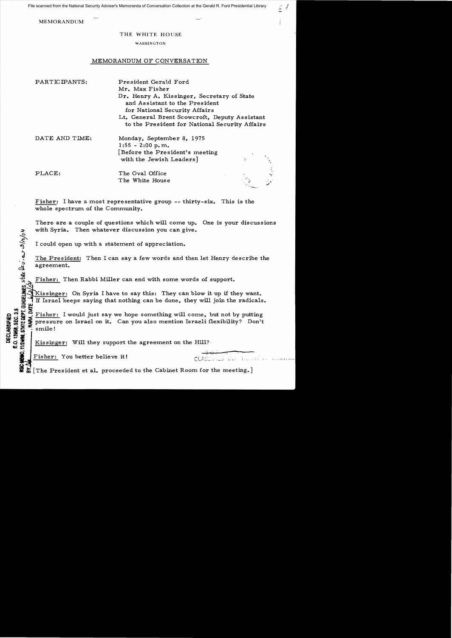File scanned from the National Security Adviser's Memoranda of Conversation Collection at the Gerald R. Ford Presidential Library

MEMORANDUM

## THE WHITE HOUSE

## WASHINGTON

## MEMORANDUM OF CONVERSATION

| PARTICIPANTS:  | President Gerald Ford                                                                                         |  |
|----------------|---------------------------------------------------------------------------------------------------------------|--|
|                | Mr. Max Fisher                                                                                                |  |
|                | Dr. Henry A. Kissinger, Secretary of State<br>and Assistant to the President<br>for National Security Affairs |  |
|                | Lt. General Brent Scowcroft, Deputy Assistant<br>to the President for National Security Affairs               |  |
| DATE AND TIME: | Monday, September 8, 1975<br>$1:55 - 2:00$ p.m.                                                               |  |
|                | Before the President's meeting                                                                                |  |
|                | with the Jewish Leaders]                                                                                      |  |
| PLACE:         | The Oval Office                                                                                               |  |
|                | The White House                                                                                               |  |

Fisher: I have a most representative group  $-$ - thirty-six. This is the whole spectrum of the Community.

There are a couple of questions which will come up. One is your discussions with Syria. Then whatever discussion you can give.

I could open up with a statement of appreciation.

The President: Then I can say a few words and then let Henry describe the agreement.

Fisher: Then Rabbi Miller can end with some words of support.

*vi'*  w Kissinger: On Syria I have to say this: They can blow it up if they want. If Israel keeps saying that nothing can be done, they will join the radicals.<br>  $\frac{10}{5}$  Fisher, I would just are we have comething will come, but not by putting **9**<br>D.OME<br>DATE

 $Q^{\bullet}$   $\overrightarrow{Q}$   $\overrightarrow{E}$  Fisher: I would just say we hope something will come, but not by putting<br>  $Q^{\bullet}$   $\overrightarrow{Q}$   $\overrightarrow{Q}$  pressure on Israel on it. Can you also mention Israeli flexibility? Don't<br>  $Q^{\bullet}$   $\overrightarrow{Q}$   $\over$ pressure on Israel on it. Can you also mention Israeli flexibility? Don't ffl f! :a: sm.i1e! !I <sup>~</sup>

Kissinger: Will they support the agreement on the Hill?

Fisher: You better believe it!

 $\hat{\mu}_{\bm{\nu}}$  ,

CLASSWEED DIE LEEKTR

 $\mathcal{L} \notin$ 

 $\boldsymbol{\Sigma}$  [The President et al. proceeded to the Cabinet Room for the meeting.]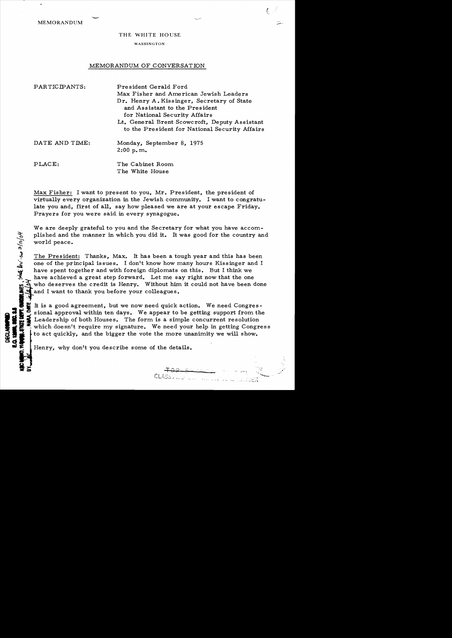MEMORANDUM

WASHINGTON

## MEMORANDUM OF CONVERSATION

| PARTICIPANTS:  | President Gerald Ford<br>Max Fisher and American Jewish Leaders<br>Dr. Henry A. Kissinger, Secretary of State<br>and Assistant to the President<br>for National Security Affairs<br>Lt. General Brent Scowcroft, Deputy Assistant<br>to the President for National Security Affairs |
|----------------|-------------------------------------------------------------------------------------------------------------------------------------------------------------------------------------------------------------------------------------------------------------------------------------|
| DATE AND TIME: | Monday, September 8, 1975<br>2:00 p.m.                                                                                                                                                                                                                                              |
| PLACE:         | The Cabinet Room<br>The White House                                                                                                                                                                                                                                                 |

Max Fisher: I want to present to you, Mr. President, the president of virtually every organization in the Jewish community. I want to congratulate you and, first of all, say how pleased we are at your escape Friday. Prayers for you were said in every synagogue.

We are deeply grateful to you and the Secretary for what you have accomplished and the manner in which you did it. It was good for the country and world peace.

The President: Thanks, Max. It has been a tough year and this has been one of the principal issues. I don't know how many hours Kissinger and I have spent together and with foreign diplomats on this. But I think we have achieved a great step forward. Let me say right now that the one who deserves the credit is Henry. Without him it could not have been done and I want to thank you before your colleagues.

sional approval within ten days. We appear to be getting support from the Leadership of both Houses. The form is a simple concurrent resolution  $\mathbf{z}^*$  which doesn't require my signature. We need your help in getting Congress<br>  $\downarrow$  to act quickly, and the bigger the vote the more unanimity we will show. It is a good agreement, but we now need quick action. We need Congresto act quickly, and the bigger the vote the more unanimity we will show.<br>Henry, why don't you describe some of the details.

CLASSMILL LOWER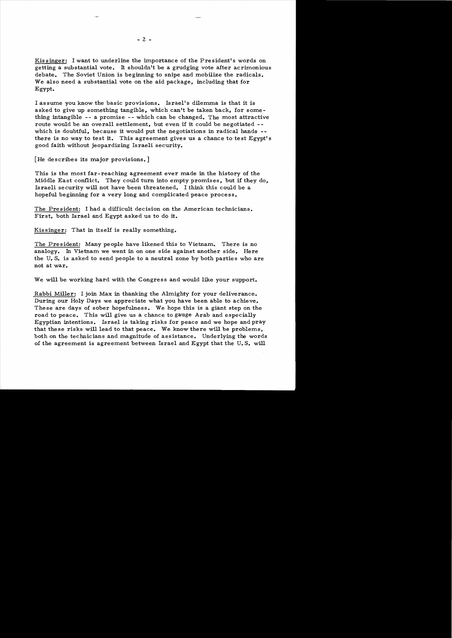Kissinger: I want to underline the importance of the President's words on getting a substantial vote. It shouldn't be a grudging vote after acrimonious debate. The Soviet Union is beginning to snipe and mobilize the radicals. We also need a substantial vote on the aid package, including that for Egypt.

I assume you know the basic provisions. Israel's dilemma is that it is asked to give up something tangible, which can't be taken back, for something intangible  $--$  a promise  $--$  which can be changed. The most attractive route would be an overall settlement, but even if it could be negotiated -which is doubtful, because it would put the negotiations in radical hands  there is no way to test it. This agreement gives us a chance to test Egypt's good faith without jeopardizing Israeli security.

[He describes its major provisions.]

This is the most far-reaching agreement ever made in the history of the Middle East conflict. They could turn into empty promises, but if they do, Israeli security will not have been threatened. I think this could be a hopeful beginning for a very long and complicated peace process.

The President: I had a difficult decision on the American technicians. First, both Israel and Egypt asked us to do it.

Kissinger: That in itself is really something.

The President: Many people have likened this to Vietnam.. There is no analogy. In Vietnam we went in on one side against another side. Here the U. S. is asked to send people to a neutral zone by both parties who are not at war.

We will be working hard with the Congress and would like your support.

Rabbi Miller: I join Max in thanking the Almighty for your deliverance. During our Holy Days we appreciate what you have been able to achieve. These are days of sober hopefulness. We hope this is a giant step on the road to peace. This will give us a chance to gauge Arab and especially Egyptian intentions. Israel is taking risks for peace and we hope and pray that these risks will lead to that peace. We know there will be problems, both on the technicians and magnitude of assistance. Underlying the words of the agreement is agreement between Israel and Egypt that the U.S. will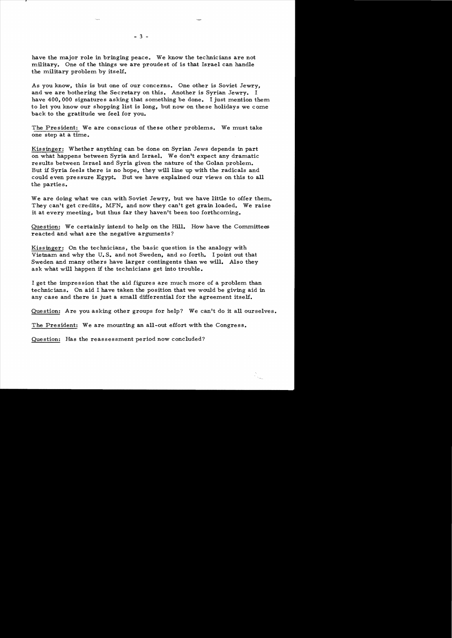have the major role in bringing peace. We know the technicians are not military. One of the things we are proudest of is that Israel can handle the military problem by itself.

As you know, this is but one of our concerns. One other is Soviet Jewry, and we are bothering the Secretary on this. Another is Syrian Jewry. I have 400,000 signatures asking that something be done. I just mention them to let you know our shopping list is long, but now on these holidays we corne back to the gratitude we feel for you.

The President: We are conscious of these other problems. We must take one step at a time.

Kissinger: Whether anything can be done on Syrian Jews depends in part on what happens between Syria and Israel. We don't expect any dramatic results between Israel and Syria given the nature of the Golan problem. But if Syria feels there is no hope, they will line up with the radicals and could even pressure Egypt. But we have explained our views on this to a11 the parties.

We are doing what we can with Soviet Jewry, but we have little to offer them. They can't get credits, MFN, and now they can't get grain loaded. We raise it at every meeting, but thus far they haven't been too forthcoming.

Question: We certainly intend to help on the Hill. How have the Committees reacted and what are the negative arguments?

Kissinger: On the technicians, the basic question is the analogy with Vietnam and why the U. S. and not Sweden, and so forth. I point out that Sweden and many others have larger contingents than we wi11. Also they ask what will happen if the technicians get into trouble.

I get the impression that the aid figures are much more of a problem than technicians. On aid I have taken the position that we would be giving aid in any case and there is just a small differential for the agreement itself.

Question: Are you asking other groups for help? We can't do it all ourselves.

The President: We are mounting an a11-out effort with the Congress.

Question: Has the reassessment period now concluded?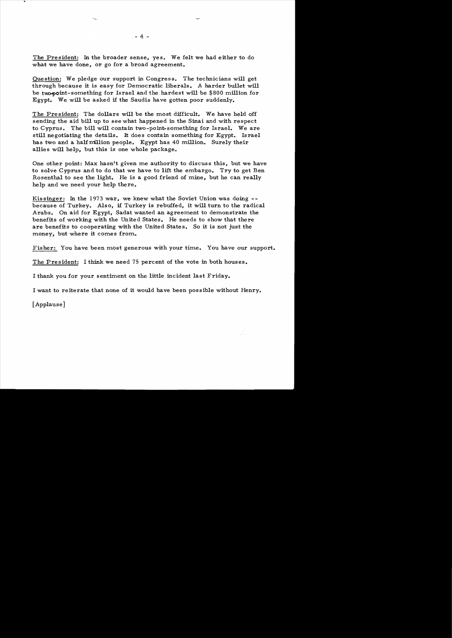The President: In the broader sense, yes. We felt we had either to do what we have done, or go for a broad agreement.

Question: We pledge our support in Congress. The technicians will get through because it is easy for Democratic liberals. A harder bullet will be two-point-something for Israel and the hardest will be \$800 million for Egypt. We will be asked if the Saudis have gotten poor suddenly.

The President: The dollars will be the most difficult. We have held off sending the aid bill up to see what happened in the Sinai and with respect to Cyprus. The bill will contain two-point-something for Israel. We are still negotiating the details. It does contain something for Egypt. Israel has two and a half million people. Egypt has 40 million. Surely their allies will help, but this is one whole package.

One other point: Max hasn't given me authority to discuss this, but we have to solve Cyprus and to do that we have to lift the embargo. Try to get Ben Rosenthal to see the light. He is a good friend of mine, but he can really help and we need your help there.

Kissinger: In the 1973 war, we knew what the Soviet Union was doing  $-$ because of Turkey. Also, if Turkey is rebuffed, it will turn to the radical Arabs. On aid for Egypt, Sadat wanted an agreement to demonstrate the benefits of working with the United States. He needs to show that there are benefits to cooperating with the United States. So it is not just the money, but where it comes from.

Fisher: You have been most generous with your time. You have our support.

The President: I think we need 75 percent of the vote in both houses.

I thank you for your sentiment on the little incident last Friday.

I want to reiterate that none of it would have been possible without Henry.

[Applause]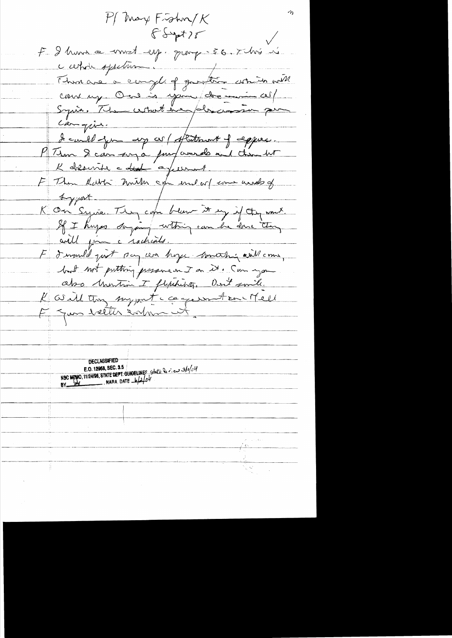$P/m$ ay Fishn/K  $65477$ E I hun a voust espagnement son this is Than are a complet protecte attended carrie spectrum cours up. One is spire de Syria, The what he place Canguin. I could jou ap co/ statement of equies. PTim & can any a purposed and then he K absente a deal a fees E Then Rabbi mitter age und art come under of & great K On Syria. They can been it my if they won't. If I knyss saying within can be done they will join a rachials. E d'immelit quit son con hoyer monthé avillement but not putting pressure on it. Can you abo Martin I flytchibity, Don't smile. Karll trong surport component contracted F Jun beller salme ut **DECLASSIFIED** NSC MENO, 11/24/98, STATE DEPT. GUNDELINES State leviers 3/0/04 E.O. 12968, SEC. 3.5 NARA DATE  $\frac{1}{2}$  $BY$ <sub>--</sub>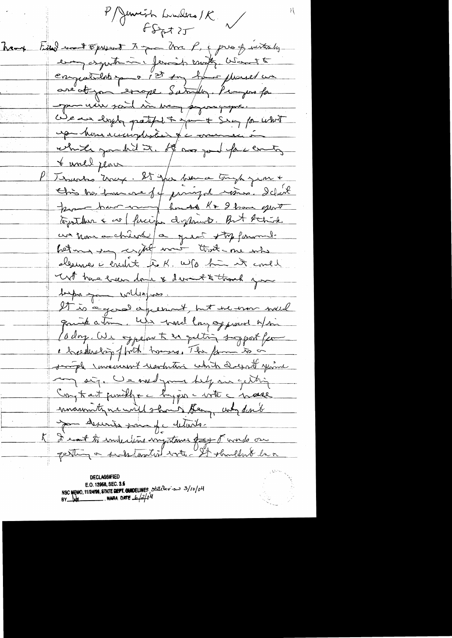l'Almerick Lunders / K  $f_{\text{Spt}}$ hand time won't spread to you P, & pres of withouts every asymite in fermish exoty when the engatulation a 1st on have placed un are ot you errope Saturdy. Pemper fa pour vieu said in very proposage. We are loyely patched to young to what uper home accomplexant par commencer in which good it. If was jou face enty <u>t world place</u> Tesustes Unix. It par burne tough jean + This has bare one of famigal resins. I clock pour hui and huist Kr 2 hours euro un nous auchiente / a quoi stop formands hetma you crythet mont that are who dermes à énclise de K. W/0 hui est could unt have hear donk & devent to thank you toups you willing uss. It is a good agreement, but he was well quick a time, who would long of proud of sin Lodor. We ogpefort en peting support for e breedership of brith hommes, The form to on somple inversiont usefution which doesn't your any sig. We wild your help in getting Cong to act functly + c bay per - write c mase manuty we will show they und don't ma desiries para pc details. K D'east to indiction importance dans d'une ou Festing a sends touted with - It shouldn't be a

**DECLASSIFIED** E.O. 12968, SEC. 3.5 NSC MEMO, 11/24198, STATE DEPT. CUNDELINES, State Dev. our 3/10/04 **NARA DATE**  $-6/2/64$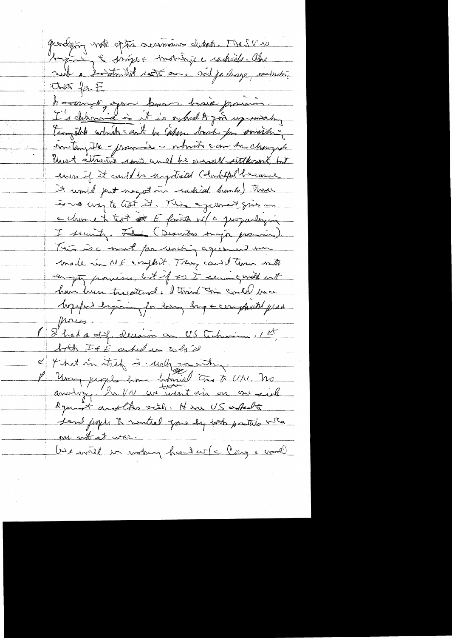gardying wat ofte accommon debut. The SV is tout à la dinger mondage adhing de houring option brown train promoins toogeth which can't be cahin don't for southing miteryable - processe - which can be changed Unest attraction contains and be arrived sutterned, but even if it could be ingotisted (dominital because it would put use at in rudiced homes). There to vo may to let it. This against give me a channe in typ at for family will groupaching in I security. Fe : (Descritos songs premiers). This is a work for unching agreement was made in ME crysted. Trans cand time with compty promises, but if so I can give the not have been tracateurs. I train the could bue hopeful happing for hang hap & cerempticated prob- $\mu$ res. 1 8 had a dif. decesion on US achiamen, 1et both If E asked in to be it K & hat in they is unify sounding. P Um piges home bouriel à t UN. No dynast another risk, Hera US askedts Send fugle to mential you by both parties when one not at war. Use intil in mothing heard with Cong & world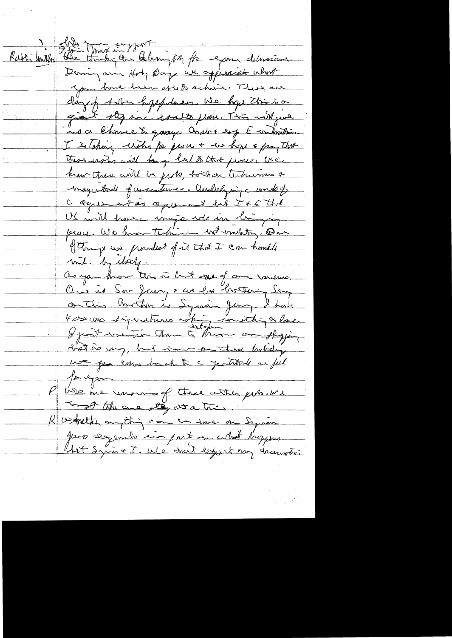Ratti miller Filie that in fact de la formation de la democina During arin Hotz Day we appreciate what you have been after achieve. These are day of solar hyppothess. We hope this is a grant they are wants place. This will give noa Chruce & quaye andré esp E contention. I is lating with for prove + we hope & prog that These erstos will be gette that the fine, U.R. hew then will be juste, to show technicales of magartonal of assistance. Anderlying candot C Oque estas aperment bit IsE that US with trouse image role in lui join of things we provided of it that I can handle with by itself. as you know this is but some of and various, Ou is Sar Juin & us ha thortening Sem on this. Unother is Syrian Jung. I have 4 cs cas signatures white constant where hat is any, hut imme on these holiday we for enw back to a justitude un ful for eyes USE me varming there wither probably To go the case they at a tries K ostalten omjetnig com en some om Synan que experience ainspiration utilist trappeare Ast Syris & I. We don't expert my drawati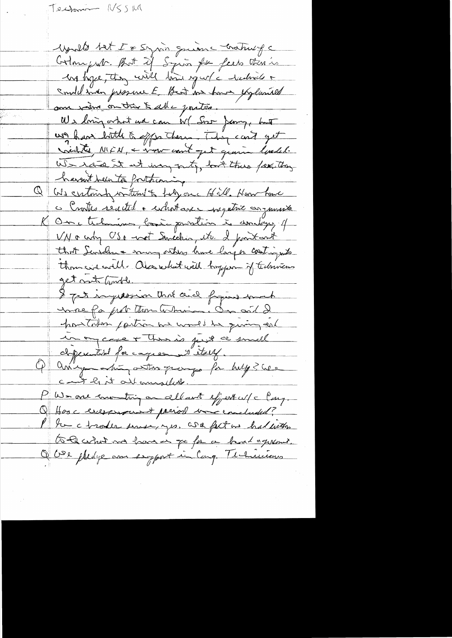Technico (USSILA

Moult tet I & Syrin quanc Craticipe Colonyent. But if Squin for feels there is Me hope, they will him in whe without a could man pressure E Best in how explanaed son viens on très à abe partire. We loving orbit we can W ( Soo Jamp, but us have bottle & effection . They can't get violites NICK, & some court jet genrie lundel. We rate at at may outy, but this feather harn't been to fortheming  $\overline{\varpi}$  . We certainly writing to hely one of ill. Haw have c Crostes reacted a whotave negative arguments K On Malmins, bosin paration is donlinger of VN & cody USA - cost Sancelio, etc. I point and that Sensdan a nun others have larger contingents thousand Alexabet with boyques of technicas get not houble. I get ingestion that and fragine much unne fa prot troublemin. On ait de houtaken joutra we would be quing eat unon case + thousand first a small dependied for capier is itself. aning this attor page for help? We cant lit all amount in the PWs one consuming on all ant effect w/c large Q Hose exceptions of pariod was concluded? the chroder surse, yes, we fact in had with to be what me have in go for a hand agreement. Obse pledge am enjoyed in Cong. The havious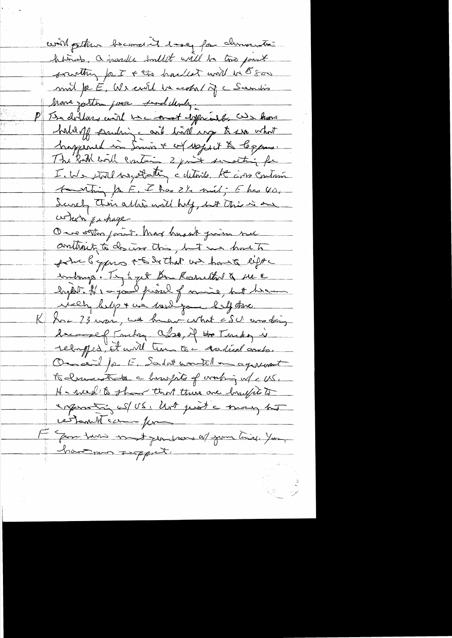will getting becomeint love for duringthe historials, a parade bouldet will be too point scritting for I + the hardest will be 500 mint pe E, We certil la ceptal de Scendis Mons jouten pour sud dende, The dollars evidence onet deprivate as hard <u>haldaff sauling and lind may to see what</u> happened in Smir + of uspect & leggens. The both bol contain 2 point surveiting for I. We stall us potating a detoils. He are contain touthing for E. I has it suit; E has voi Scircly this allie will huly, but this is one cohon pa hage contenity to descent this, but we have to point bypas + to be that we have eight indangs. Try to get Bon Rosnellad & une lech belijn ne melige belij dans Hac 23 mais, we have what cSU was doing because of Toucher abo, if the Turkey i rebayfed, et unit time to - Acedian compo. Onceil for E. Sadat worstell in agreement to chancestrate a humpto of working w/ < US. He week to them there are brufit to enquanting us US, Unt just a may hot cestant comme pour He Gear turn most jean were af your time, You having support.